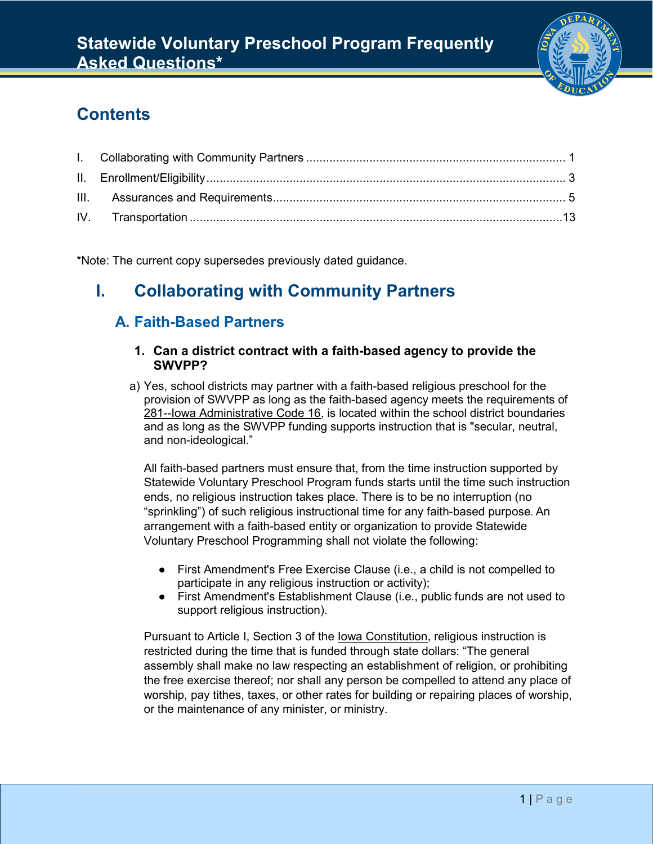

# **Contents**

\*Note: The current copy supersedes previously dated guidance.

# <span id="page-0-0"></span>**I. Collaborating with Community Partners**

## **A. Faith-Based Partners**

#### **1. Can a district contract with a faith-based agency to provide the SWVPP?**

a) Yes, school districts may partner with a faith-based religious preschool for the provision of SWVPP as long as the faith-based agency meets the requirements of [281--Iowa Administrative Code 16,](http://www.legis.iowa.gov/DOCS/ACO/IAC/LINC/Chapter.281.16.pdf) is located within the school district boundaries and as long as the SWVPP funding supports instruction that is "secular, neutral, and non-ideological."

All faith-based partners must ensure that, from the time instruction supported by Statewide Voluntary Preschool Program funds starts until the time such instruction ends, no religious instruction takes place. There is to be no interruption (no "sprinkling") of such religious instructional time for any faith-based purpose. An arrangement with a faith-based entity or organization to provide Statewide Voluntary Preschool Programming shall not violate the following:

- First Amendment's Free Exercise Clause (i.e., a child is not compelled to participate in any religious instruction or activity);
- First Amendment's Establishment Clause (i.e., public funds are not used to support religious instruction).

Pursuant to Article I, Section 3 of the [Iowa Constitution,](https://www.legis.iowa.gov/docs/publications/icnst/402726.pdf) religious instruction is restricted during the time that is funded through state dollars: "The general assembly shall make no law respecting an establishment of religion, or prohibiting the free exercise thereof; nor shall any person be compelled to attend any place of worship, pay tithes, taxes, or other rates for building or repairing places of worship, or the maintenance of any minister, or ministry.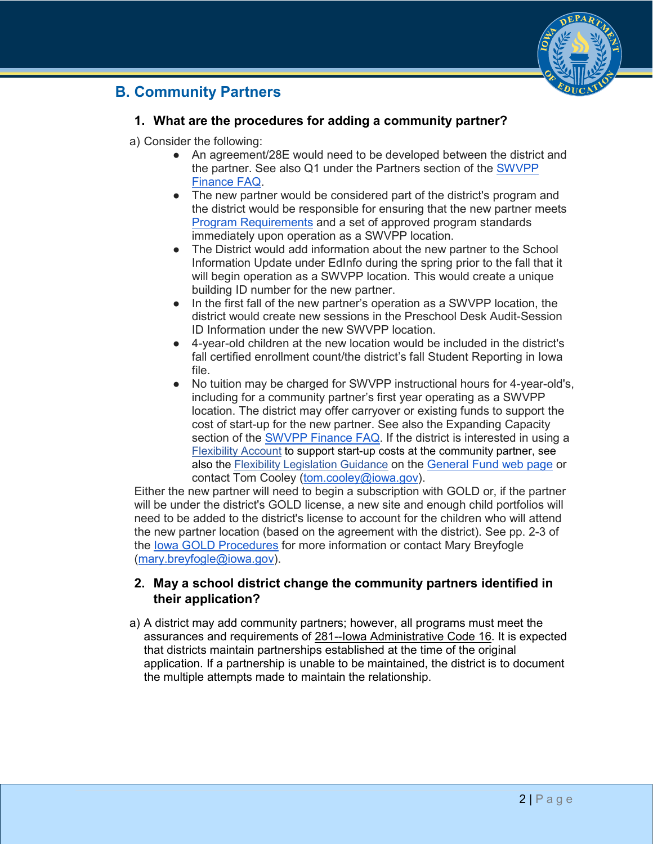

## **B. Community Partners**

## **1. What are the procedures for adding a community partner?**

- a) Consider the following:
	- An agreement/28E would need to be developed between the district and the partner. See also Q1 under the Partners section of the [SWVPP](https://educateiowa.gov/sites/files/ed/documents/SWVPPFinanceFAQ-August2018_0.pdf)  [Finance FAQ.](https://educateiowa.gov/sites/files/ed/documents/SWVPPFinanceFAQ-August2018_0.pdf)
	- The new partner would be considered part of the district's program and the district would be responsible for ensuring that the new partner meets [Program Requirements](https://eduvision.tv/l?eAOgLR) and a set of approved program standards immediately upon operation as a SWVPP location.
	- The District would add information about the new partner to the School Information Update under EdInfo during the spring prior to the fall that it will begin operation as a SWVPP location. This would create a unique building ID number for the new partner.
	- In the first fall of the new partner's operation as a SWVPP location, the district would create new sessions in the Preschool Desk Audit-Session ID Information under the new SWVPP location.
	- 4-year-old children at the new location would be included in the district's fall certified enrollment count/the district's fall Student Reporting in Iowa file.
	- No tuition may be charged for SWVPP instructional hours for 4-year-old's, including for a community partner's first year operating as a SWVPP location. The district may offer carryover or existing funds to support the cost of start-up for the new partner. See also the Expanding Capacity section of the [SWVPP Finance FAQ.](https://educateiowa.gov/sites/files/ed/documents/SWVPPFinanceFAQ-August2018_0.pdf) If the district is interested in using a [Flexibility Account](https://educateiowa.gov/pk-12/school-business-finance/levies-funds/general-fund#Flexibility_Account) to support start-up costs at the community partner, see also the [Flexibility Legislation Guidance](https://educateiowa.gov/documents/levies-and-funds/2018/01/flexibility-legislation-guidance) on the [General Fund web page](https://educateiowa.gov/pk-12/school-business-finance/levies-funds/general-fund) or contact Tom Cooley [\(tom.cooley@iowa.gov\)](mailto:tom.cooley@iowa.gov).

Either the new partner will need to begin a subscription with GOLD or, if the partner will be under the district's GOLD license, a new site and enough child portfolios will need to be added to the district's license to account for the children who will attend the new partner location (based on the agreement with the district). See pp. 2-3 of the [Iowa GOLD Procedures](https://educateiowa.gov/sites/files/ed/documents/Iowa%20GOLD%20Online%20Procedures%20Feb2018.pdf) for more information or contact Mary Breyfogle [\(mary.breyfogle@iowa.gov\)](mailto:mary.breyfogle@iowa.gov).

## **2. May a school district change the community partners identified in their application?**

a) A district may add community partners; however, all programs must meet the assurances and requirements of [281--Iowa Administrative Code 16.](http://www.legis.iowa.gov/DOCS/ACO/IAC/LINC/Chapter.281.16.pdf) It is expected that districts maintain partnerships established at the time of the original application. If a partnership is unable to be maintained, the district is to document the multiple attempts made to maintain the relationship.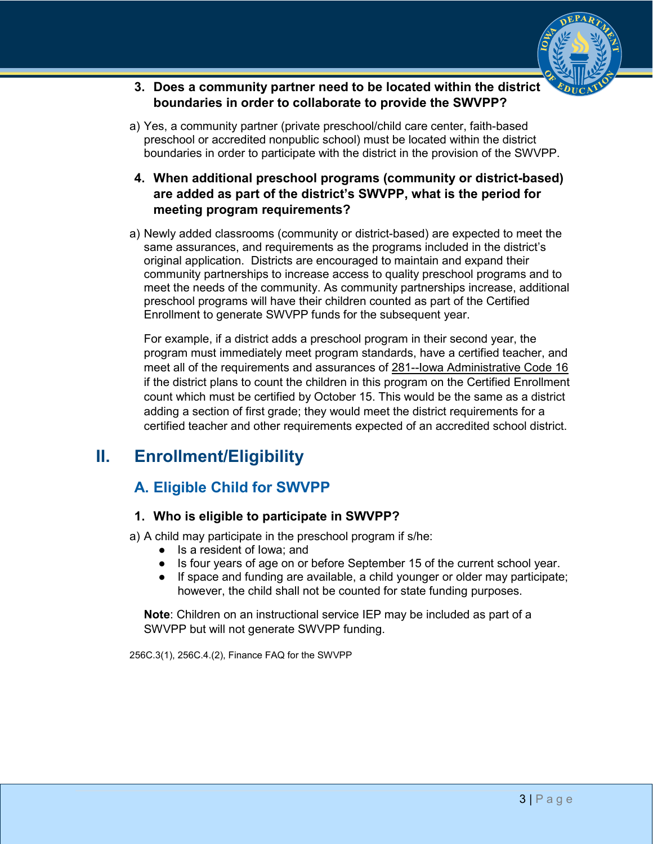

- **3. Does a community partner need to be located within the district boundaries in order to collaborate to provide the SWVPP?**
- a) Yes, a community partner (private preschool/child care center, faith-based preschool or accredited nonpublic school) must be located within the district boundaries in order to participate with the district in the provision of the SWVPP.
- **4. When additional preschool programs (community or district-based) are added as part of the district's SWVPP, what is the period for meeting program requirements?**
- a) Newly added classrooms (community or district-based) are expected to meet the same assurances, and requirements as the programs included in the district's original application. Districts are encouraged to maintain and expand their community partnerships to increase access to quality preschool programs and to meet the needs of the community. As community partnerships increase, additional preschool programs will have their children counted as part of the Certified Enrollment to generate SWVPP funds for the subsequent year.

For example, if a district adds a preschool program in their second year, the program must immediately meet program standards, have a certified teacher, and meet all of the requirements and assurances of [281--Iowa Administrative Code 16](http://www.legis.iowa.gov/DOCS/ACO/IAC/LINC/Chapter.281.16.pdf) if the district plans to count the children in this program on the Certified Enrollment count which must be certified by October 15. This would be the same as a district adding a section of first grade; they would meet the district requirements for a certified teacher and other requirements expected of an accredited school district.

# <span id="page-2-0"></span>**II. Enrollment/Eligibility**

## **A. Eligible Child for SWVPP**

### **1. Who is eligible to participate in SWVPP?**

a) A child may participate in the preschool program if s/he:

- Is a resident of Iowa; and
- Is four years of age on or before September 15 of the current school year.
- If space and funding are available, a child younger or older may participate; however, the child shall not be counted for state funding purposes.

**Note**: Children on an instructional service IEP may be included as part of a SWVPP but will not generate SWVPP funding.

256C.3(1), 256C.4.(2), Finance FAQ for the SWVPP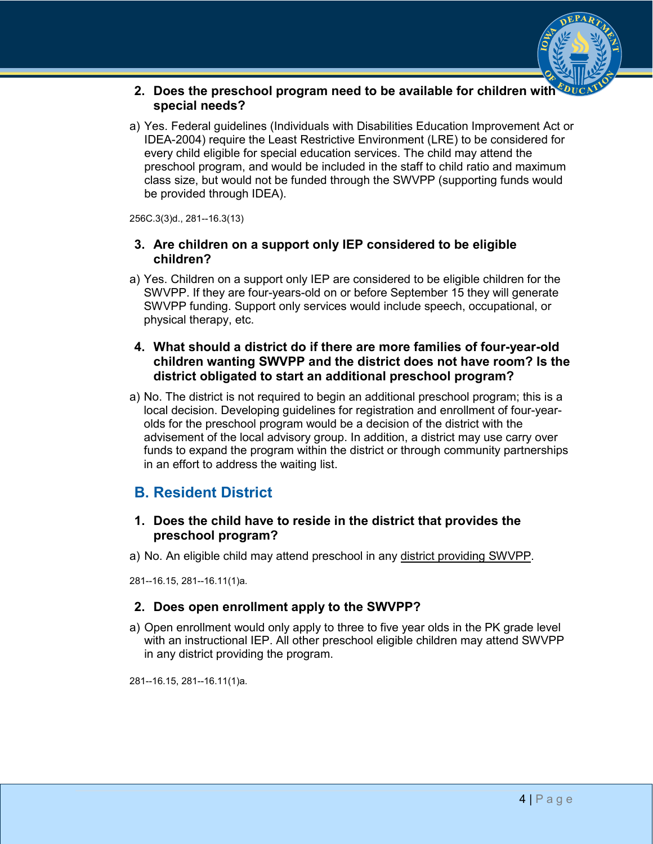

#### **2. Does the preschool program need to be available for children with special needs?**

a) Yes. Federal guidelines (Individuals with Disabilities Education Improvement Act or IDEA-2004) require the Least Restrictive Environment (LRE) to be considered for every child eligible for special education services. The child may attend the preschool program, and would be included in the staff to child ratio and maximum class size, but would not be funded through the SWVPP (supporting funds would be provided through IDEA).

256C.3(3)d., 281--16.3(13)

#### **3. Are children on a support only IEP considered to be eligible children?**

a) Yes. Children on a support only IEP are considered to be eligible children for the SWVPP. If they are four-years-old on or before September 15 they will generate SWVPP funding. Support only services would include speech, occupational, or physical therapy, etc.

#### **4. What should a district do if there are more families of four-year-old children wanting SWVPP and the district does not have room? Is the district obligated to start an additional preschool program?**

a) No. The district is not required to begin an additional preschool program; this is a local decision. Developing guidelines for registration and enrollment of four-yearolds for the preschool program would be a decision of the district with the advisement of the local advisory group. In addition, a district may use carry over funds to expand the program within the district or through community partnerships in an effort to address the waiting list.

## **B. Resident District**

### **1. Does the child have to reside in the district that provides the preschool program?**

a) No. An eligible child may attend preschool in any [district providing SWVPP.](https://www.educateiowa.gov/pk-12/early-childhood/statewide-voluntary-preschool-program-four-year-old-children#Awarded_Applicants)

281--16.15, 281--16.11(1)a.

### **2. Does open enrollment apply to the SWVPP?**

a) Open enrollment would only apply to three to five year olds in the PK grade level with an instructional IEP. All other preschool eligible children may attend SWVPP in any district providing the program.

281--16.15, 281--16.11(1)a.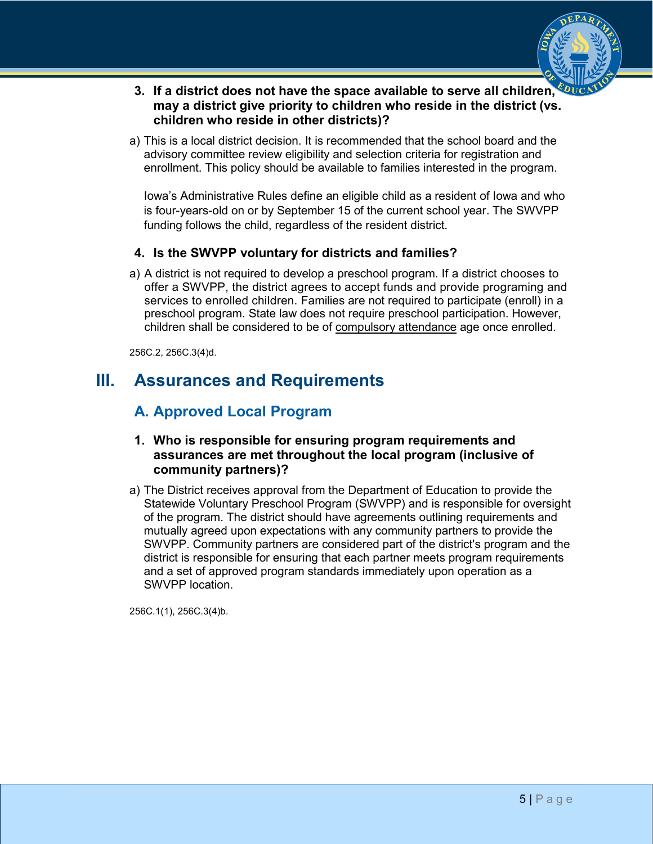

- **3. If a district does not have the space available to serve all children, may a district give priority to children who reside in the district (vs. children who reside in other districts)?**
- a) This is a local district decision. It is recommended that the school board and the advisory committee review eligibility and selection criteria for registration and enrollment. This policy should be available to families interested in the program.

Iowa's Administrative Rules define an eligible child as a resident of Iowa and who is four-years-old on or by September 15 of the current school year. The SWVPP funding follows the child, regardless of the resident district.

## **4. Is the SWVPP voluntary for districts and families?**

a) A district is not required to develop a preschool program. If a district chooses to offer a SWVPP, the district agrees to accept funds and provide programing and services to enrolled children. Families are not required to participate (enroll) in a preschool program. State law does not require preschool participation. However, children shall be considered to be of [compulsory attendance](https://www.educateiowa.gov/sites/files/ed/documents/2013-05-06%20Compulsory%20Attendance%20for%205-year-old%20Students.pdf) age once enrolled.

256C.2, 256C.3(4)d.

## <span id="page-4-0"></span>**III. Assurances and Requirements**

## **A. Approved Local Program**

### **1. Who is responsible for ensuring program requirements and assurances are met throughout the local program (inclusive of community partners)?**

a) The District receives approval from the Department of Education to provide the Statewide Voluntary Preschool Program (SWVPP) and is responsible for oversight of the program. The district should have agreements outlining requirements and mutually agreed upon expectations with any community partners to provide the SWVPP. Community partners are considered part of the district's program and the district is responsible for ensuring that each partner meets program requirements and a set of approved program standards immediately upon operation as a SWVPP location.

256C.1(1), 256C.3(4)b.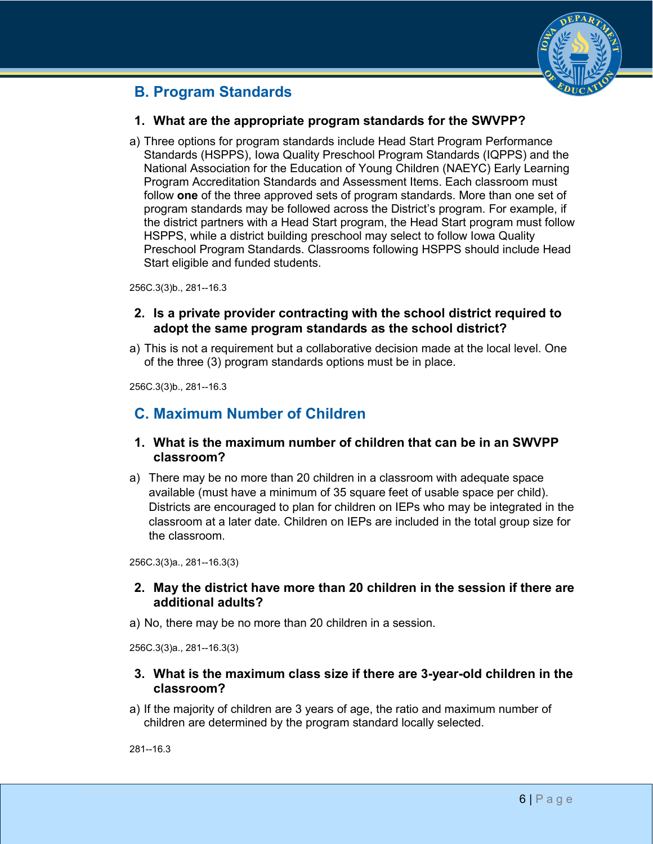

## **B. Program Standards**

### **1. What are the appropriate program standards for the SWVPP?**

a) Three options for program standards include Head Start Program Performance Standards (HSPPS), Iowa Quality Preschool Program Standards (IQPPS) and the National Association for the Education of Young Children (NAEYC) Early Learning Program Accreditation Standards and Assessment Items. Each classroom must follow **one** of the three approved sets of program standards. More than one set of program standards may be followed across the District's program. For example, if the district partners with a Head Start program, the Head Start program must follow HSPPS, while a district building preschool may select to follow Iowa Quality Preschool Program Standards. Classrooms following HSPPS should include Head Start eligible and funded students.

256C.3(3)b., 281--16.3

#### **2. Is a private provider contracting with the school district required to adopt the same program standards as the school district?**

a) This is not a requirement but a collaborative decision made at the local level. One of the three (3) program standards options must be in place.

256C.3(3)b., 281--16.3

## **C. Maximum Number of Children**

#### **1. What is the maximum number of children that can be in an SWVPP classroom?**

a) There may be no more than 20 children in a classroom with adequate space available (must have a minimum of 35 square feet of usable space per child). Districts are encouraged to plan for children on IEPs who may be integrated in the classroom at a later date. Children on IEPs are included in the total group size for the classroom.

256C.3(3)a., 281--16.3(3)

### **2. May the district have more than 20 children in the session if there are additional adults?**

a) No, there may be no more than 20 children in a session.

256C.3(3)a., 281--16.3(3)

#### **3. What is the maximum class size if there are 3-year-old children in the classroom?**

a) If the majority of children are 3 years of age, the ratio and maximum number of children are determined by the program standard locally selected.

281--16.3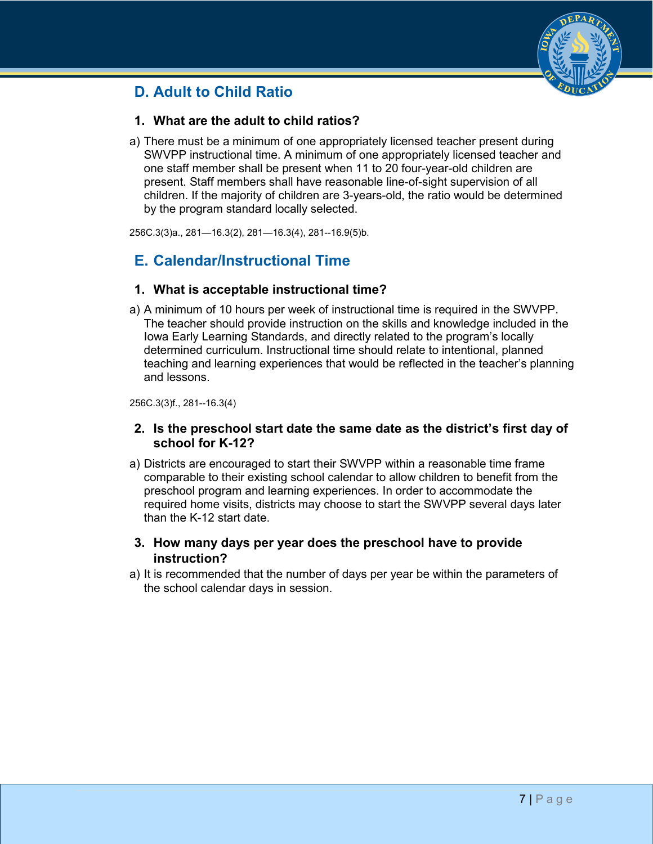## **D. Adult to Child Ratio**



## **1. What are the adult to child ratios?**

a) There must be a minimum of one appropriately licensed teacher present during SWVPP instructional time. A minimum of one appropriately licensed teacher and one staff member shall be present when 11 to 20 four-year-old children are present. Staff members shall have reasonable line-of-sight supervision of all children. If the majority of children are 3-years-old, the ratio would be determined by the program standard locally selected.

256C.3(3)a., 281—16.3(2), 281—16.3(4), 281--16.9(5)b.

## **E. Calendar/Instructional Time**

#### **1. What is acceptable instructional time?**

a) A minimum of 10 hours per week of instructional time is required in the SWVPP. The teacher should provide instruction on the skills and knowledge included in the Iowa Early Learning Standards, and directly related to the program's locally determined curriculum. Instructional time should relate to intentional, planned teaching and learning experiences that would be reflected in the teacher's planning and lessons.

256C.3(3)f., 281--16.3(4)

#### **2. Is the preschool start date the same date as the district's first day of school for K-12?**

a) Districts are encouraged to start their SWVPP within a reasonable time frame comparable to their existing school calendar to allow children to benefit from the preschool program and learning experiences. In order to accommodate the required home visits, districts may choose to start the SWVPP several days later than the K-12 start date.

### **3. How many days per year does the preschool have to provide instruction?**

a) It is recommended that the number of days per year be within the parameters of the school calendar days in session.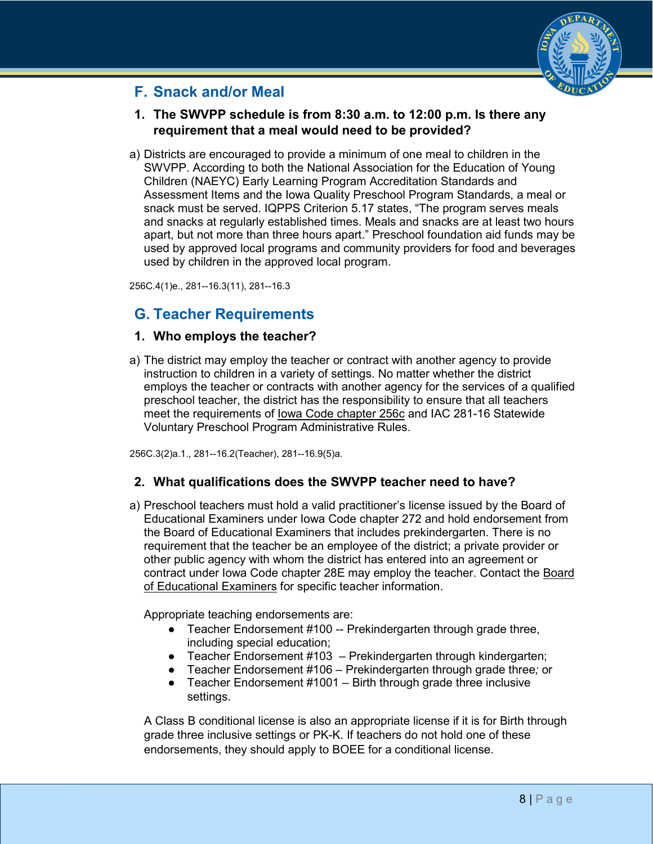

## **F. Snack and/or Meal**

## **1. The SWVPP schedule is from 8:30 a.m. to 12:00 p.m. Is there any requirement that a meal would need to be provided?**

a) Districts are encouraged to provide a minimum of one meal to children in the SWVPP. According to both the National Association for the Education of Young Children (NAEYC) Early Learning Program Accreditation Standards and Assessment Items and the Iowa Quality Preschool Program Standards, a meal or snack must be served. IQPPS Criterion 5.17 states, "The program serves meals and snacks at regularly established times. Meals and snacks are at least two hours apart, but not more than three hours apart." Preschool foundation aid funds may be used by approved local programs and community providers for food and beverages used by children in the approved local program.

256C.4(1)e., 281--16.3(11), 281--16.3

## **G. Teacher Requirements**

### **1. Who employs the teacher?**

a) The district may employ the teacher or contract with another agency to provide instruction to children in a variety of settings. No matter whether the district employs the teacher or contracts with another agency for the services of a qualified preschool teacher, the district has the responsibility to ensure that all teachers meet the requirements of [Iowa Code chapter 256c](http://www.legis.iowa.gov/DOCS/ACO/IC/LINC/Chapter.256c.pdf) and IAC 281-16 Statewide Voluntary Preschool Program Administrative Rules.

256C.3(2)a.1., 281--16.2(Teacher), 281--16.9(5)a.

### **2. What qualifications does the SWVPP teacher need to have?**

a) Preschool teachers must hold a valid practitioner's license issued by the Board of Educational Examiners under Iowa Code chapter 272 and hold endorsement from the Board of Educational Examiners that includes prekindergarten. There is no requirement that the teacher be an employee of the district; a private provider or other public agency with whom the district has entered into an agreement or contract under Iowa Code chapter 28E may employ the teacher. Contact the [Board](http://www.boee.iowa.gov/)  [of Educational Examiners](http://www.boee.iowa.gov/) for specific teacher information.

Appropriate teaching endorsements are:

- Teacher Endorsement #100 -- Prekindergarten through grade three, including special education;
- Teacher Endorsement #103 Prekindergarten through kindergarten;
- Teacher Endorsement #106 Prekindergarten through grade three*;* or
- Teacher Endorsement #1001 Birth through grade three inclusive settings.

A Class B conditional license is also an appropriate license if it is for Birth through grade three inclusive settings or PK-K. If teachers do not hold one of these endorsements, they should apply to BOEE for a conditional license.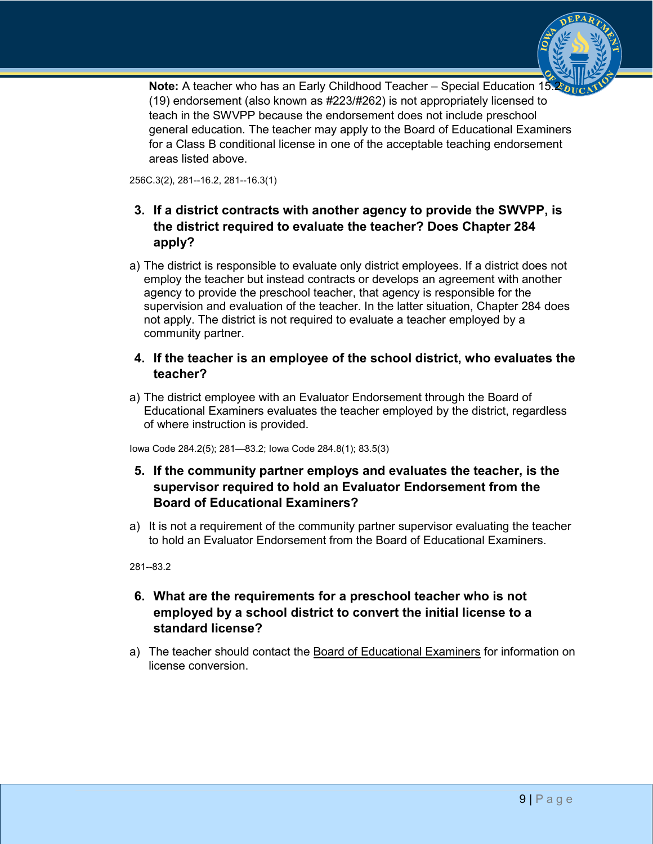

**Note:** A teacher who has an Early Childhood Teacher – Special Education 15.2 (19) endorsement (also known as #223/#262) is not appropriately licensed to teach in the SWVPP because the endorsement does not include preschool general education. The teacher may apply to the Board of Educational Examiners for a Class B conditional license in one of the acceptable teaching endorsement areas listed above.

256C.3(2), 281--16.2, 281--16.3(1)

## **3. If a district contracts with another agency to provide the SWVPP, is the district required to evaluate the teacher? Does Chapter 284 apply?**

a) The district is responsible to evaluate only district employees. If a district does not employ the teacher but instead contracts or develops an agreement with another agency to provide the preschool teacher, that agency is responsible for the supervision and evaluation of the teacher. In the latter situation, Chapter 284 does not apply. The district is not required to evaluate a teacher employed by a community partner.

### **4. If the teacher is an employee of the school district, who evaluates the teacher?**

a) The district employee with an Evaluator Endorsement through the Board of Educational Examiners evaluates the teacher employed by the district, regardless of where instruction is provided.

Iowa Code 284.2(5); 281—83.2; Iowa Code 284.8(1); 83.5(3)

## **5. If the community partner employs and evaluates the teacher, is the supervisor required to hold an Evaluator Endorsement from the Board of Educational Examiners?**

a) It is not a requirement of the community partner supervisor evaluating the teacher to hold an Evaluator Endorsement from the Board of Educational Examiners.

281--83.2

## **6. What are the requirements for a preschool teacher who is not employed by a school district to convert the initial license to a standard license?**

a) The teacher should contact the [Board of Educational Examiners](http://www.boee.iowa.gov/) for information on license conversion.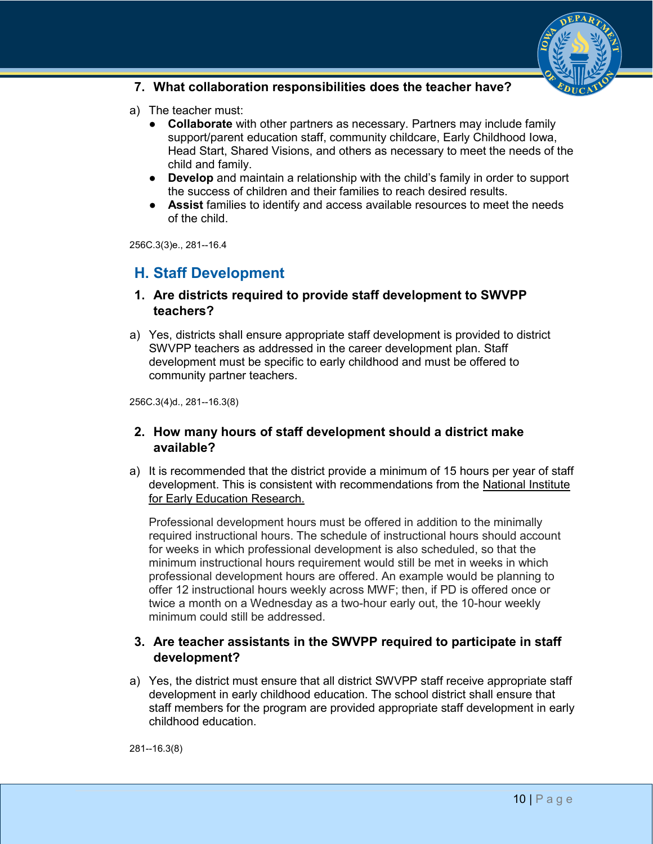

#### **7. What collaboration responsibilities does the teacher have?**

- a) The teacher must:
	- **Collaborate** with other partners as necessary. Partners may include family support/parent education staff, community childcare, Early Childhood Iowa, Head Start, Shared Visions, and others as necessary to meet the needs of the child and family.
	- **Develop** and maintain a relationship with the child's family in order to support the success of children and their families to reach desired results.
	- **Assist** families to identify and access available resources to meet the needs of the child.

256C.3(3)e., 281--16.4

## **H. Staff Development**

#### **1. Are districts required to provide staff development to SWVPP teachers?**

a) Yes, districts shall ensure appropriate staff development is provided to district SWVPP teachers as addressed in the career development plan. Staff development must be specific to early childhood and must be offered to community partner teachers.

256C.3(4)d., 281--16.3(8)

### **2. How many hours of staff development should a district make available?**

a) It is recommended that the district provide a minimum of 15 hours per year of staff development. This is consistent with recommendations from the [National Institute](http://nieer.org/)  [for Early Education Research.](http://nieer.org/)

Professional development hours must be offered in addition to the minimally required instructional hours. The schedule of instructional hours should account for weeks in which professional development is also scheduled, so that the minimum instructional hours requirement would still be met in weeks in which professional development hours are offered. An example would be planning to offer 12 instructional hours weekly across MWF; then, if PD is offered once or twice a month on a Wednesday as a two-hour early out, the 10-hour weekly minimum could still be addressed.

## **3. Are teacher assistants in the SWVPP required to participate in staff development?**

a) Yes, the district must ensure that all district SWVPP staff receive appropriate staff development in early childhood education. The school district shall ensure that staff members for the program are provided appropriate staff development in early childhood education.

281--16.3(8)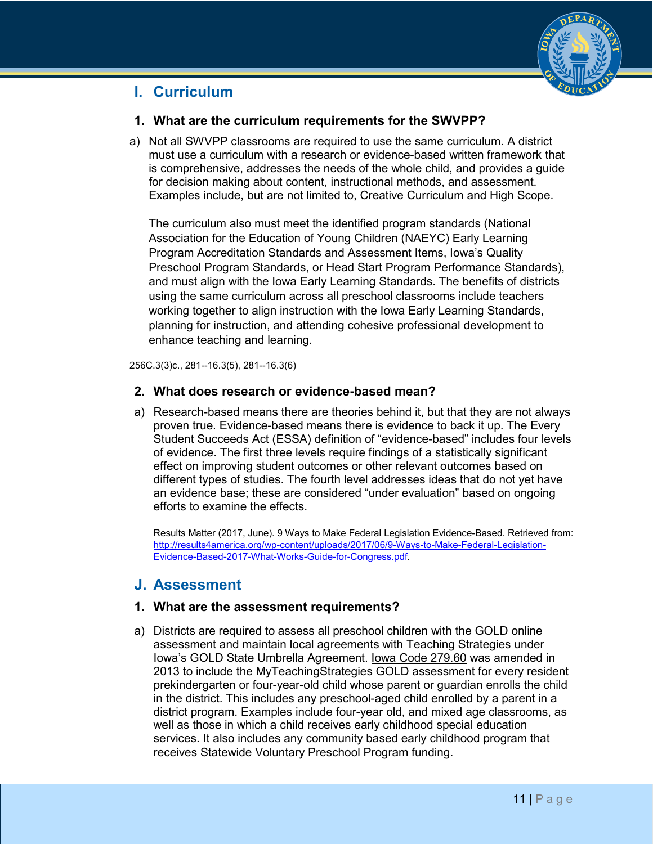

## **I. Curriculum**

### **1. What are the curriculum requirements for the SWVPP?**

a) Not all SWVPP classrooms are required to use the same curriculum. A district must use a curriculum with a research or evidence-based written framework that is comprehensive, addresses the needs of the whole child, and provides a guide for decision making about content, instructional methods, and assessment. Examples include, but are not limited to, Creative Curriculum and High Scope.

The curriculum also must meet the identified program standards (National Association for the Education of Young Children (NAEYC) Early Learning Program Accreditation Standards and Assessment Items, Iowa's Quality Preschool Program Standards, or Head Start Program Performance Standards), and must align with the Iowa Early Learning Standards. The benefits of districts using the same curriculum across all preschool classrooms include teachers working together to align instruction with the Iowa Early Learning Standards, planning for instruction, and attending cohesive professional development to enhance teaching and learning.

256C.3(3)c., 281--16.3(5), 281--16.3(6)

### **2. What does research or evidence-based mean?**

a) Research-based means there are theories behind it, but that they are not always proven true. Evidence-based means there is evidence to back it up. The Every Student Succeeds Act (ESSA) definition of "evidence-based" includes four levels of evidence. The first three levels require findings of a statistically significant effect on improving student outcomes or other relevant outcomes based on different types of studies. The fourth level addresses ideas that do not yet have an evidence base; these are considered "under evaluation" based on ongoing efforts to examine the effects.

Results Matter (2017, June). 9 Ways to Make Federal Legislation Evidence-Based. Retrieved from: [http://results4america.org/wp-content/uploads/2017/06/9-Ways-to-Make-Federal-Legislation-](http://results4america.org/wp-content/uploads/2017/06/9-Ways-to-Make-Federal-Legislation-Evidence-Based-2017-What-Works-Guide-for-Congress.pdf)[Evidence-Based-2017-What-Works-Guide-for-Congress.pdf.](http://results4america.org/wp-content/uploads/2017/06/9-Ways-to-Make-Federal-Legislation-Evidence-Based-2017-What-Works-Guide-for-Congress.pdf)

## **J. Assessment**

### **1. What are the assessment requirements?**

a) Districts are required to assess all preschool children with the GOLD online assessment and maintain local agreements with Teaching Strategies under Iowa's GOLD State Umbrella Agreement. [Iowa Code 279.60](https://www.legis.iowa.gov/docs/code/279.60.pdf) was amended in 2013 to include the MyTeachingStrategies GOLD assessment for every resident prekindergarten or four-year-old child whose parent or guardian enrolls the child in the district. This includes any preschool-aged child enrolled by a parent in a district program. Examples include four-year old, and mixed age classrooms, as well as those in which a child receives early childhood special education services. It also includes any community based early childhood program that receives Statewide Voluntary Preschool Program funding.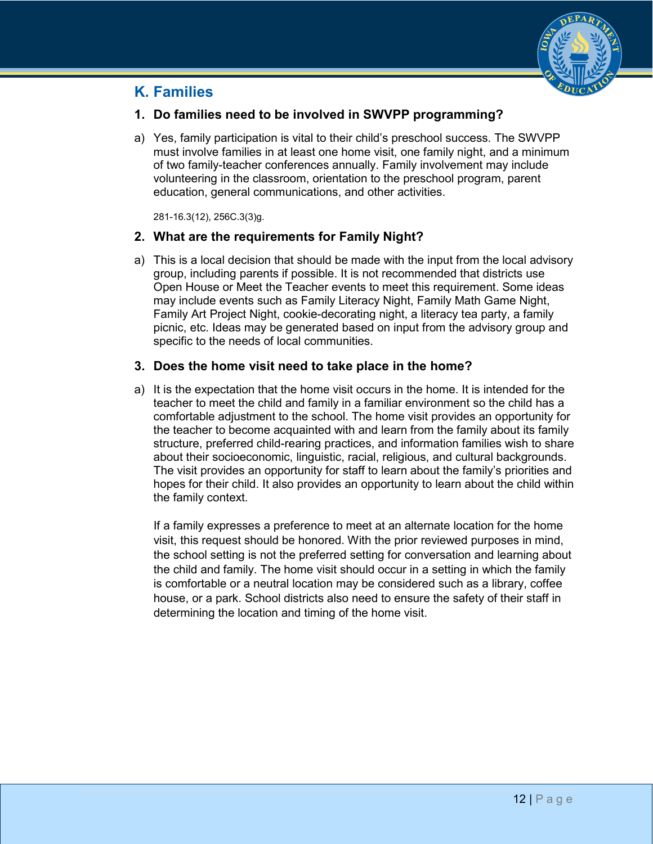

## **K. Families**

## **1. Do families need to be involved in SWVPP programming?**

a) Yes, family participation is vital to their child's preschool success. The SWVPP must involve families in at least one home visit, one family night, and a minimum of two family-teacher conferences annually. Family involvement may include volunteering in the classroom, orientation to the preschool program, parent education, general communications, and other activities.

281-16.3(12), 256C.3(3)g.

## **2. What are the requirements for Family Night?**

a) This is a local decision that should be made with the input from the local advisory group, including parents if possible. It is not recommended that districts use Open House or Meet the Teacher events to meet this requirement. Some ideas may include events such as Family Literacy Night, Family Math Game Night, Family Art Project Night, cookie-decorating night, a literacy tea party, a family picnic, etc. Ideas may be generated based on input from the advisory group and specific to the needs of local communities.

## **3. Does the home visit need to take place in the home?**

a) It is the expectation that the home visit occurs in the home. It is intended for the teacher to meet the child and family in a familiar environment so the child has a comfortable adjustment to the school. The home visit provides an opportunity for the teacher to become acquainted with and learn from the family about its family structure, preferred child-rearing practices, and information families wish to share about their socioeconomic, linguistic, racial, religious, and cultural backgrounds. The visit provides an opportunity for staff to learn about the family's priorities and hopes for their child. It also provides an opportunity to learn about the child within the family context.

If a family expresses a preference to meet at an alternate location for the home visit, this request should be honored. With the prior reviewed purposes in mind, the school setting is not the preferred setting for conversation and learning about the child and family. The home visit should occur in a setting in which the family is comfortable or a neutral location may be considered such as a library, coffee house, or a park. School districts also need to ensure the safety of their staff in determining the location and timing of the home visit.